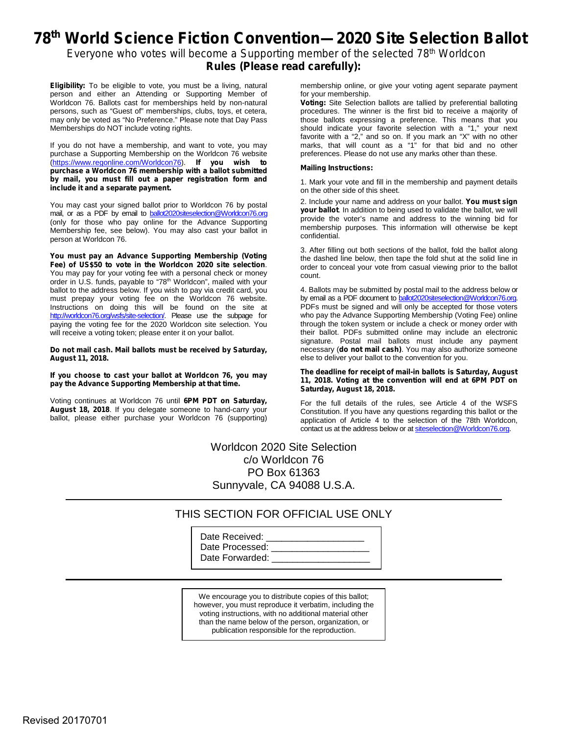## **78 th World Science Fiction Convention—2020 Site Selection Ballot**

*Everyone who votes will become a Supporting member of the selected 78 th Worldcon* **Rules (Please read carefully):**

**Eligibility:** To be eligible to vote, you must be a living, natural person and either an Attending or Supporting Member of Worldcon 76. Ballots cast for memberships held by non-natural persons, such as "Guest of" memberships, clubs, toys, et cetera, may only be voted as "No Preference." Please note that Day Pass Memberships do NOT include voting rights.

If you do not have a membership, and want to vote, you may purchase a Supporting Membership on the Worldcon 76 website (<https://www.regonline.com/Worldcon76>). **If you wish to purchase a Worldcon 76 membership with a ballot submitted by mail, you must fill out a paper registration form and include it and a separate payment.**

You may cast your signed ballot prior to Worldcon 76 by postal mail, or as a PDF by email to [ballot2020siteselection@Worldcon76.org](mailto:ballot2020siteselection@Worldcon76.org) (only for those who pay online for the Advance Supporting Membership fee, see below). You may also cast your ballot in person at Worldcon 76.

**You must pay an Advance Supporting Membership (Voting Fee) of US\$50 to vote in the Worldcon 2020 site selection**. You may pay for your voting fee with a personal check or money order in U.S. funds, payable to "78<sup>th</sup> Worldcon", mailed with your ballot to the address below. If you wish to pay via credit card, you must prepay your voting fee on the Worldcon 76 website. Instructions on doing this will be found on the site at <http://worldcon76.org/wsfs/site-selection/>. Please use the subpage for paying the voting fee for the 2020 Worldcon site selection. You will receive a voting token; please enter it on your ballot.

**Do not mail cash. Mail ballots must be received by Saturday, August 11, 2018.**

**If you choose to cast your ballot at Worldcon 76, you may pay the Advance Supporting Membership at that time.**

Voting continues at Worldcon 76 until **6PM PDT on Saturday, August 18, 2018**. If you delegate someone to hand-carry your ballot, please either purchase your Worldcon 76 (supporting) membership online, or give your voting agent separate payment for your membership.

**Voting:** Site Selection ballots are tallied by preferential balloting procedures. The winner is the first bid to receive a majority of those ballots expressing a preference. This means that you should indicate your favorite selection with a "1," your next favorite with a "2," and so on. If you mark an "X" with no other marks, that will count as a "1" for that bid and no other preferences. Please do not use any marks other than these.

#### **Mailing Instructions:**

1. Mark your vote and fill in the membership and payment details on the other side of this sheet.

2. Include your name and address on your ballot. **You must sign your ballot**. In addition to being used to validate the ballot, we will provide the voter's name and address to the winning bid for membership purposes. This information will otherwise be kept confidential.

3. After filling out both sections of the ballot, fold the ballot along the dashed line below, then tape the fold shut at the solid line in order to conceal your vote from casual viewing prior to the ballot count.

4. Ballots may be submitted by postal mail to the address below or by email as a PDF document to **[ballot2020siteselection@Worldcon76.org](mailto:ballot2020siteselection@Worldcon76.org)**. PDFs must be signed and will only be accepted for those voters who pay the Advance Supporting Membership (Voting Fee) online through the token system or include a check or money order with their ballot. PDFs submitted online may include an electronic signature. Postal mail ballots must include any payment necessary (**do not mail cash)**. You may also authorize someone else to deliver your ballot to the convention for you.

#### **The deadline for receipt of mail-in ballots is Saturday, August 11, 2018. Voting at the convention will end at 6PM PDT on Saturday, August 18, 2018.**

For the full details of the rules, see Article 4 of the WSFS Constitution. If you have any questions regarding this ballot or the application of Article 4 to the selection of the 78th Worldcon, contact us at the address below or at [siteselection@Worldcon76.org](mailto:siteselection@Worldcon76.org).

## Worldcon 2020 Site Selection c/o Worldcon 76 PO Box 61363 Sunnyvale, CA 94088 U.S.A.

### THIS SECTION FOR OFFICIAL USE ONLY

| Date Received:  |  |
|-----------------|--|
| Date Processed: |  |
| Date Forwarded: |  |

We encourage you to distribute copies of this ballot; however, you must reproduce it verbatim, including the voting instructions, with no additional material other than the name below of the person, organization, or publication responsible for the reproduction.